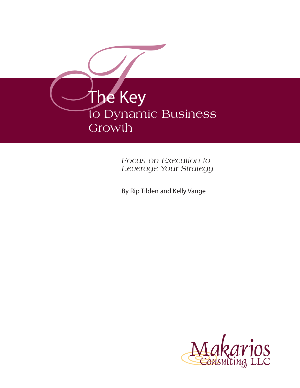

*Focus on Execution to Leverage Your Strategy*

By Rip Tilden and Kelly Vange

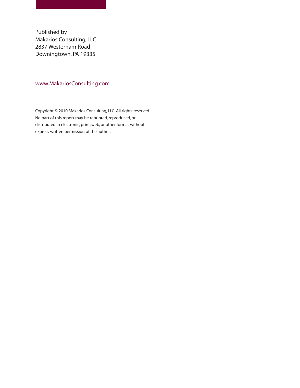Published by Makarios Consulting, LLC 2837 Westerham Road Downingtown, PA 19335

#### www.MakariosConsulting.com

Copyright © 2010 Makarios Consulting, LLC. All rights reserved. No part of this report may be reprinted, reproduced, or distributed in electronic, print, web, or other format without express written permission of the author.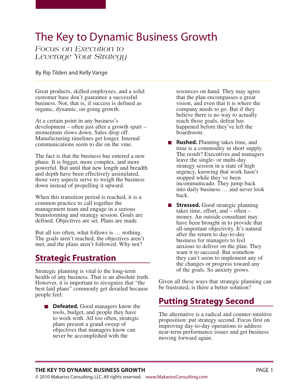# The Key to Dynamic Business Growth

#### *Focus on Execution to Leverage Your Strategy*

By Rip Tilden and Kelly Vange

Great products, skilled employees, and a solid customer base don't guarantee a successful business. Not, that is, if success is defined as organic, dynamic, on-going growth.

At a certain point in any business's development – often just after a growth spurt – momentum slows down. Sales drop off. Manufacturing timelines get longer. Internal communications seem to die on the vine.

The fact is that the business has entered a new phase. It is bigger, more complex, and more powerful. But until that new length and breadth and depth have been effectively assimilated, those very aspects serve to weigh the business down instead of propelling it upward.

When this transition period is reached, it is a common practice to call together the management team and engage in a serious brainstorming and strategy session. Goals are defined. Objectives are set. Plans are made.

But all too often, what follows is … nothing. The goals aren't reached, the objectives aren't met, and the plans aren't followed. Why not?

## **Strategic Frustration**

Strategic planning is vital to the long-term health of any business. That is an absolute truth. However, it is important to recognize that "the best laid plans" commonly get derailed because people feel:

**Defeated.** Good managers know the tools, budget, and people they have to work with. All too often, strategic plans present a grand sweep of objectives that managers know can never be accomplished with the

resources on hand. They may agree that the plan encompasses a great vision, and even that it is where the company needs to go. But if they believe there is no way to actually reach those goals, defeat has happened before they've left the boardroom.

- **Rushed.** Planning takes time, and time is a commodity in short supply. The result? Executives and managers leave the single- or multi-day strategy session in a state of high urgency, knowing that work hasn't stopped while they've been incommunicado. They jump back into daily business … and never look back.
- **Stressed.** Good strategic planning takes time, effort, and – often – money. An outside consultant may have been brought in to provide that all-important objectivity. It's natural after the return to day-to-day business for managers to feel anxious to deliver on the plan. They want it to succeed. But somehow they can't seem to implement any of the changes or progress toward any of the goals. So anxiety grows.

Given all these ways that strategic planning can be frustrated, is there a better solution?

# **Putting Strategy Second**

The alternative is a radical and counter-intuitive proposition: put strategy second. Focus first on improving day-to-day operations to address near-term performance issues and get business moving forward again.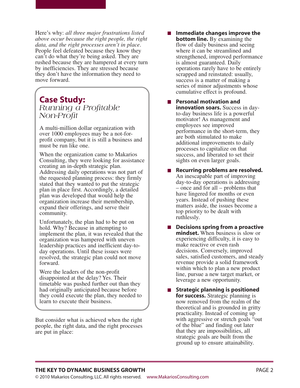Here's why: *all three major frustrations listed above occur because the right people, the right data, and the right processes aren't in place*. People feel defeated because they know they can't do what they're being asked. They are rushed because they are hampered at every turn by inefficiencies. They are stressed because they don't have the information they need to move forward.

### **Case Study:** *Running a Profitable Non-Profit*

A multi-million dollar organization with over 1000 employees may be a not-forprofit company, but it is still a business and must be run like one.

When the organization came to Makarios Consulting, they were looking for assistance creating an in-depth strategic plan. Addressing daily operations was not part of the requested planning process: they firmly stated that they wanted to put the strategic plan in place first. Accordingly, a detailed plan was developed that would help the organization increase their membership, expand their offerings, and serve their community.

Unfortunately, the plan had to be put on hold. Why? Because in attempting to implement the plan, it was revealed that the organization was hampered with uneven leadership practices and inefficient day-today operations. Until these issues were resolved, the strategic plan could not move forward.

Were the leaders of the non-profit disappointed at the delay? Yes. Their timetable was pushed further out than they had originally anticipated because before they could execute the plan, they needed to learn to execute their business.

But consider what is achieved when the right people, the right data, and the right processes are put in place:

- **Immediate changes improve the bottom line.** By examining the flow of daily business and seeing where it can be streamlined and strengthened, improved performance is almost guaranteed. Daily operations rarely have to be entirely scrapped and reinstated: usually, success is a matter of making a series of minor adjustments whose cumulative effect is profound.
- **Personal motivation and innovation soars.** Success in dayto-day business life is a powerful motivator! As management and employees see improved performance in the short-term, they are both stimulated to make additional improvements to daily processes to capitalize on that success, and liberated to set their sights on even larger goals.
- **Recurring problems are resolved.**  $\mathcal{L}^{\text{max}}$ An inescapable part of improving day-to-day operations is addressing – once and for all – problems that have lingered for months or even years. Instead of pushing these matters aside, the issues become a top priority to be dealt with ruthlessly.
- **Decisions spring from a proactive mindset.** When business is slow or experiencing difficulty, it is easy to make reactive or even rash decisions. Conversely, improved sales, satisfied customers, and steady revenue provide a solid framework within which to plan a new product line, pursue a new target market, or leverage a new opportunity.
- $\blacksquare$  Strategic planning is positioned **for success.** Strategic planning is now removed from the realm of the theoretical and is grounded in gritty practicality. Instead of coming up with aggressive or stretch goals "out of the blue" and finding out later that they are impossibilities, all strategic goals are built from the ground up to ensure attainability.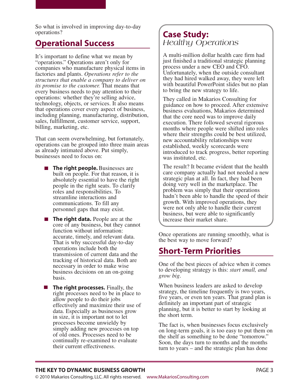So what is involved in improving day-to-day operations?

## **Operational Success**

It's important to define what we mean by "operations." Operations aren't only for companies who manufacture physical items in factories and plants. *Operations refer to the structures that enable a company to deliver on its promise to the customer.* That means that every business needs to pay attention to their operations: whether they're selling advice, technology, objects, or services. It also means that operations cover every aspect of business, including planning, manufacturing, distribution, sales, fulfillment, customer service, support, billing, marketing, etc.

That can seem overwhelming, but fortunately, operations can be grouped into three main areas as already intimated above. Put simply, businesses need to focus on:

- **The right people.** Businesses are built on people. For that reason, it is absolutely essential to have the right people in the right seats. To clarify roles and responsibilities. To streamline interactions and communications. To fill any personnel gaps that may exist.
- **The right data.** People are at the core of any business, but they cannot function without information: accurate, timely, and relevant data. That is why successful day-to-day operations include both the transmission of current data and the tracking of historical data. Both are necessary in order to make wise business decisions on an on-going basis.
- **The right processes.** Finally, the right processes need to be in place to allow people to do their jobs effectively and maximize their use of data. Especially as businesses grow in size, it is important not to let processes become unwieldy by simply adding new processes on top of old ones. Processes need to be continually re-examined to evaluate their current effectiveness.

## **Case Study:** *Healthy Operations*

A multi-million dollar health care firm had just finished a traditional strategic planning process under a new CEO and CFO. Unfortunately, when the outside consultant they had hired walked away, they were left with beautiful PowerPoint slides but no plan to bring the new strategy to life.

They called in Makarios Consulting for guidance on how to proceed. After extensive business evaluations, Makarios determined that the core need was to improve daily execution. There followed several rigorous months where people were shifted into roles where their strengths could be best utilized, new accountability relationships were established, weekly scorecards were introduced to track progress, better reporting was instituted, etc.

The result? It became evident that the health care company actually had not needed a new strategic plan at all. In fact, they had been doing very well in the marketplace. The problem was simply that their operations hadn't been able to handle the speed of their growth. With improved operations, they were not only able to handle their current business, but were able to significantly increase their market share.

Once operations are running smoothly, what is the best way to move forward?

# **Short-Term Priorities**

One of the best pieces of advice when it comes to developing strategy is this: *start small, and grow big*.

When business leaders are asked to develop strategy, the timeline frequently is two years, five years, or even ten years. That grand plan is definitely an important part of strategic planning, but it is better to start by looking at the short term.

The fact is, when businesses focus exclusively on long-term goals, it is too easy to put them on the shelf as something to be done "tomorrow." Soon, the days turn to months and the months turn to years – and the strategic plan has done